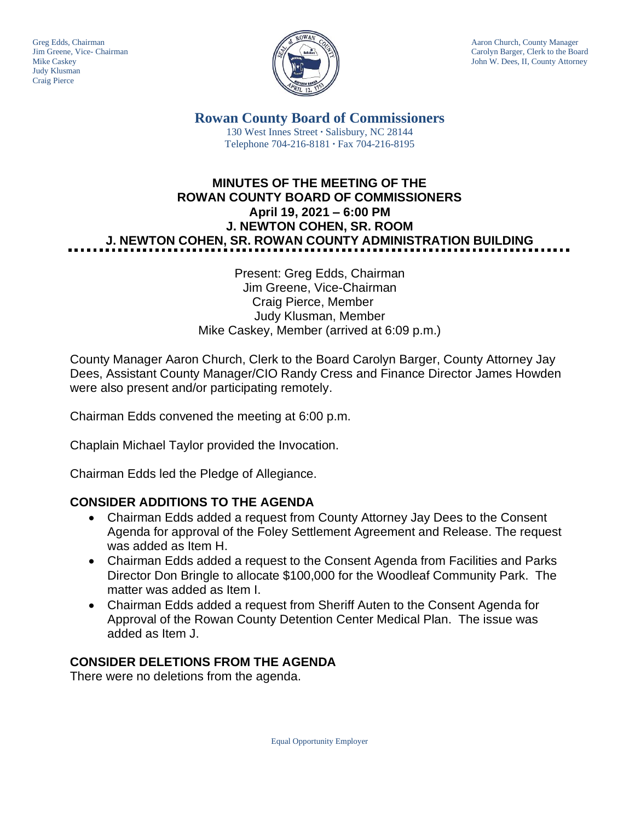

Greg Edds, Chairman Aaron Church, County Manager<br>Jim Greene, Vice- Chairman Aaron Church, County Manager and Aaron Church, County Manager and Aaron Church, County Manager Jim Greene, Vice- Chairman Carolyn Barger, Clerk to the Board Mike Caskev Carolyn Barger, Clerk to the Board Iohn W. Dees, II, County Attorney John W. Dees, II, County Attorney

> **Rowan County Board of Commissioners** 130 West Innes Street **∙** Salisbury, NC 28144 Telephone 704-216-8181 **∙** Fax 704-216-8195

# **MINUTES OF THE MEETING OF THE ROWAN COUNTY BOARD OF COMMISSIONERS April 19, 2021 – 6:00 PM J. NEWTON COHEN, SR. ROOM J. NEWTON COHEN, SR. ROWAN COUNTY ADMINISTRATION BUILDING**

#### Present: Greg Edds, Chairman Jim Greene, Vice-Chairman Craig Pierce, Member Judy Klusman, Member Mike Caskey, Member (arrived at 6:09 p.m.)

County Manager Aaron Church, Clerk to the Board Carolyn Barger, County Attorney Jay Dees, Assistant County Manager/CIO Randy Cress and Finance Director James Howden were also present and/or participating remotely.

Chairman Edds convened the meeting at 6:00 p.m.

Chaplain Michael Taylor provided the Invocation.

Chairman Edds led the Pledge of Allegiance.

### **CONSIDER ADDITIONS TO THE AGENDA**

- Chairman Edds added a request from County Attorney Jay Dees to the Consent Agenda for approval of the Foley Settlement Agreement and Release. The request was added as Item H.
- Chairman Edds added a request to the Consent Agenda from Facilities and Parks Director Don Bringle to allocate \$100,000 for the Woodleaf Community Park. The matter was added as Item I.
- Chairman Edds added a request from Sheriff Auten to the Consent Agenda for Approval of the Rowan County Detention Center Medical Plan. The issue was added as Item J.

### **CONSIDER DELETIONS FROM THE AGENDA**

There were no deletions from the agenda.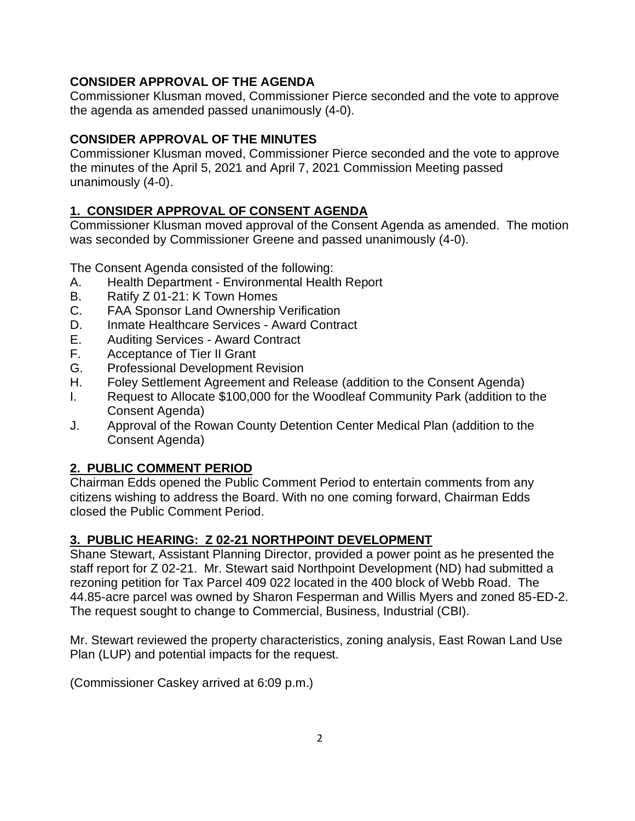### **CONSIDER APPROVAL OF THE AGENDA**

Commissioner Klusman moved, Commissioner Pierce seconded and the vote to approve the agenda as amended passed unanimously (4-0).

### **CONSIDER APPROVAL OF THE MINUTES**

Commissioner Klusman moved, Commissioner Pierce seconded and the vote to approve the minutes of the April 5, 2021 and April 7, 2021 Commission Meeting passed unanimously (4-0).

### **1. CONSIDER APPROVAL OF CONSENT AGENDA**

Commissioner Klusman moved approval of the Consent Agenda as amended. The motion was seconded by Commissioner Greene and passed unanimously (4-0).

The Consent Agenda consisted of the following:

- A. Health Department Environmental Health Report
- B. Ratify Z 01-21: K Town Homes
- C. FAA Sponsor Land Ownership Verification
- D. Inmate Healthcare Services Award Contract
- E. Auditing Services Award Contract
- F. Acceptance of Tier II Grant
- G. Professional Development Revision
- H. Foley Settlement Agreement and Release (addition to the Consent Agenda)
- I. Request to Allocate \$100,000 for the Woodleaf Community Park (addition to the Consent Agenda)
- J. Approval of the Rowan County Detention Center Medical Plan (addition to the Consent Agenda)

### **2. PUBLIC COMMENT PERIOD**

Chairman Edds opened the Public Comment Period to entertain comments from any citizens wishing to address the Board. With no one coming forward, Chairman Edds closed the Public Comment Period.

### **3. PUBLIC HEARING: Z 02-21 NORTHPOINT DEVELOPMENT**

Shane Stewart, Assistant Planning Director, provided a power point as he presented the staff report for Z 02-21. Mr. Stewart said Northpoint Development (ND) had submitted a rezoning petition for Tax Parcel 409 022 located in the 400 block of Webb Road. The 44.85-acre parcel was owned by Sharon Fesperman and Willis Myers and zoned 85-ED-2. The request sought to change to Commercial, Business, Industrial (CBI).

Mr. Stewart reviewed the property characteristics, zoning analysis, East Rowan Land Use Plan (LUP) and potential impacts for the request.

(Commissioner Caskey arrived at 6:09 p.m.)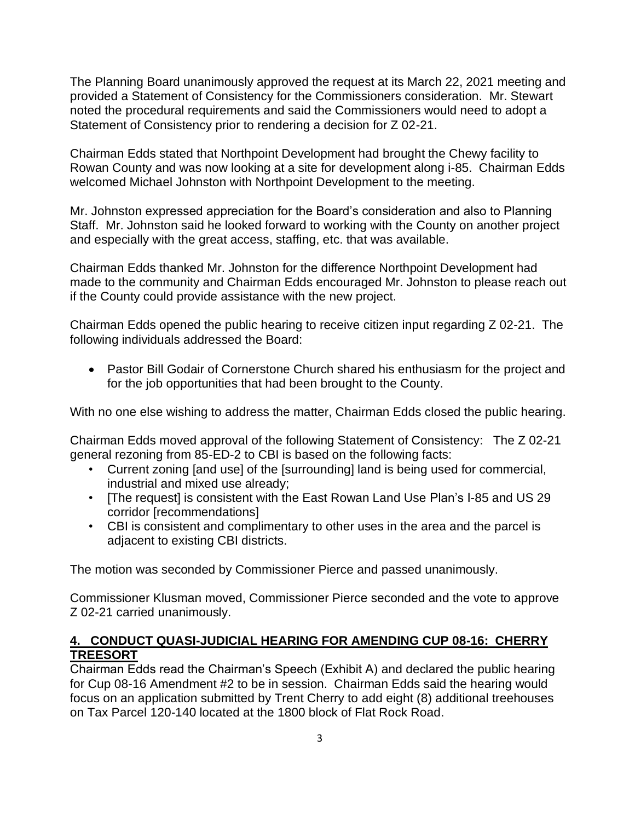The Planning Board unanimously approved the request at its March 22, 2021 meeting and provided a Statement of Consistency for the Commissioners consideration. Mr. Stewart noted the procedural requirements and said the Commissioners would need to adopt a Statement of Consistency prior to rendering a decision for Z 02-21.

Chairman Edds stated that Northpoint Development had brought the Chewy facility to Rowan County and was now looking at a site for development along i-85. Chairman Edds welcomed Michael Johnston with Northpoint Development to the meeting.

Mr. Johnston expressed appreciation for the Board's consideration and also to Planning Staff. Mr. Johnston said he looked forward to working with the County on another project and especially with the great access, staffing, etc. that was available.

Chairman Edds thanked Mr. Johnston for the difference Northpoint Development had made to the community and Chairman Edds encouraged Mr. Johnston to please reach out if the County could provide assistance with the new project.

Chairman Edds opened the public hearing to receive citizen input regarding Z 02-21. The following individuals addressed the Board:

• Pastor Bill Godair of Cornerstone Church shared his enthusiasm for the project and for the job opportunities that had been brought to the County.

With no one else wishing to address the matter, Chairman Edds closed the public hearing.

Chairman Edds moved approval of the following Statement of Consistency: The Z 02-21 general rezoning from 85-ED-2 to CBI is based on the following facts:

- Current zoning [and use] of the [surrounding] land is being used for commercial, industrial and mixed use already;
- [The request] is consistent with the East Rowan Land Use Plan's I-85 and US 29 corridor [recommendations]
- CBI is consistent and complimentary to other uses in the area and the parcel is adjacent to existing CBI districts.

The motion was seconded by Commissioner Pierce and passed unanimously.

Commissioner Klusman moved, Commissioner Pierce seconded and the vote to approve Z 02-21 carried unanimously.

### **4. CONDUCT QUASI-JUDICIAL HEARING FOR AMENDING CUP 08-16: CHERRY TREESORT**

Chairman Edds read the Chairman's Speech (Exhibit A) and declared the public hearing for Cup 08-16 Amendment #2 to be in session. Chairman Edds said the hearing would focus on an application submitted by Trent Cherry to add eight (8) additional treehouses on Tax Parcel 120-140 located at the 1800 block of Flat Rock Road.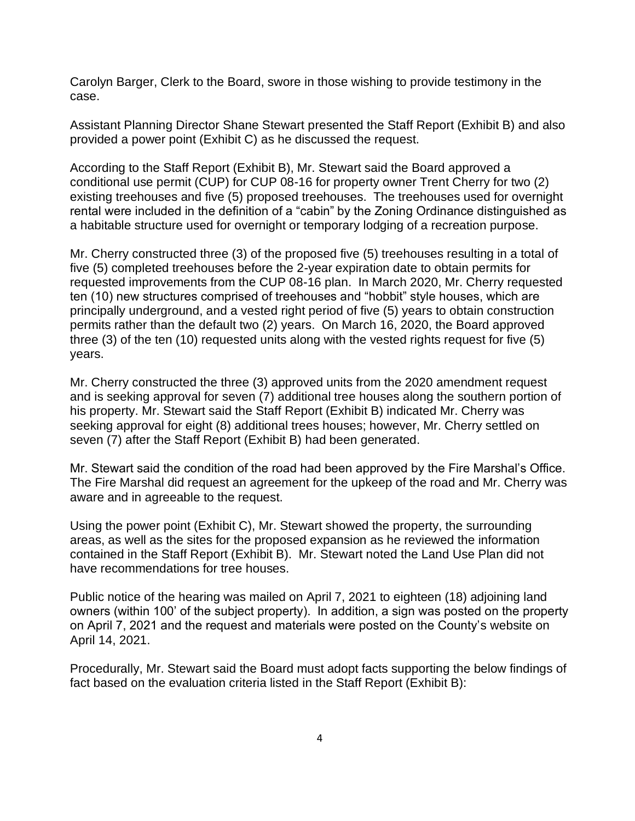Carolyn Barger, Clerk to the Board, swore in those wishing to provide testimony in the case.

Assistant Planning Director Shane Stewart presented the Staff Report (Exhibit B) and also provided a power point (Exhibit C) as he discussed the request.

According to the Staff Report (Exhibit B), Mr. Stewart said the Board approved a conditional use permit (CUP) for CUP 08-16 for property owner Trent Cherry for two (2) existing treehouses and five (5) proposed treehouses. The treehouses used for overnight rental were included in the definition of a "cabin" by the Zoning Ordinance distinguished as a habitable structure used for overnight or temporary lodging of a recreation purpose.

Mr. Cherry constructed three (3) of the proposed five (5) treehouses resulting in a total of five (5) completed treehouses before the 2-year expiration date to obtain permits for requested improvements from the CUP 08-16 plan. In March 2020, Mr. Cherry requested ten (10) new structures comprised of treehouses and "hobbit" style houses, which are principally underground, and a vested right period of five (5) years to obtain construction permits rather than the default two (2) years. On March 16, 2020, the Board approved three (3) of the ten (10) requested units along with the vested rights request for five (5) years.

Mr. Cherry constructed the three (3) approved units from the 2020 amendment request and is seeking approval for seven (7) additional tree houses along the southern portion of his property. Mr. Stewart said the Staff Report (Exhibit B) indicated Mr. Cherry was seeking approval for eight (8) additional trees houses; however, Mr. Cherry settled on seven (7) after the Staff Report (Exhibit B) had been generated.

Mr. Stewart said the condition of the road had been approved by the Fire Marshal's Office. The Fire Marshal did request an agreement for the upkeep of the road and Mr. Cherry was aware and in agreeable to the request.

Using the power point (Exhibit C), Mr. Stewart showed the property, the surrounding areas, as well as the sites for the proposed expansion as he reviewed the information contained in the Staff Report (Exhibit B). Mr. Stewart noted the Land Use Plan did not have recommendations for tree houses.

Public notice of the hearing was mailed on April 7, 2021 to eighteen (18) adjoining land owners (within 100' of the subject property). In addition, a sign was posted on the property on April 7, 2021 and the request and materials were posted on the County's website on April 14, 2021.

Procedurally, Mr. Stewart said the Board must adopt facts supporting the below findings of fact based on the evaluation criteria listed in the Staff Report (Exhibit B):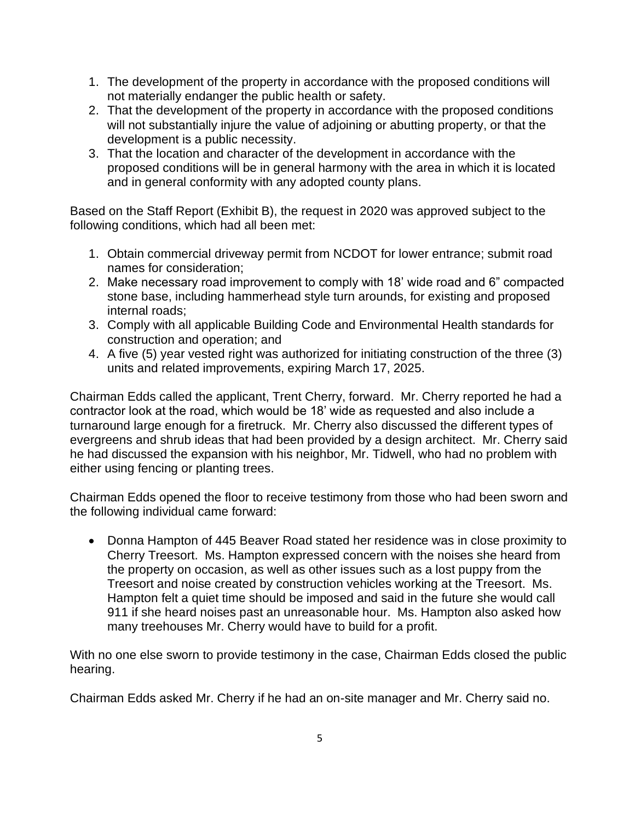- 1. The development of the property in accordance with the proposed conditions will not materially endanger the public health or safety.
- 2. That the development of the property in accordance with the proposed conditions will not substantially injure the value of adjoining or abutting property, or that the development is a public necessity.
- 3. That the location and character of the development in accordance with the proposed conditions will be in general harmony with the area in which it is located and in general conformity with any adopted county plans.

Based on the Staff Report (Exhibit B), the request in 2020 was approved subject to the following conditions, which had all been met:

- 1. Obtain commercial driveway permit from NCDOT for lower entrance; submit road names for consideration;
- 2. Make necessary road improvement to comply with 18' wide road and 6" compacted stone base, including hammerhead style turn arounds, for existing and proposed internal roads;
- 3. Comply with all applicable Building Code and Environmental Health standards for construction and operation; and
- 4. A five (5) year vested right was authorized for initiating construction of the three (3) units and related improvements, expiring March 17, 2025.

Chairman Edds called the applicant, Trent Cherry, forward. Mr. Cherry reported he had a contractor look at the road, which would be 18' wide as requested and also include a turnaround large enough for a firetruck. Mr. Cherry also discussed the different types of evergreens and shrub ideas that had been provided by a design architect. Mr. Cherry said he had discussed the expansion with his neighbor, Mr. Tidwell, who had no problem with either using fencing or planting trees.

Chairman Edds opened the floor to receive testimony from those who had been sworn and the following individual came forward:

• Donna Hampton of 445 Beaver Road stated her residence was in close proximity to Cherry Treesort. Ms. Hampton expressed concern with the noises she heard from the property on occasion, as well as other issues such as a lost puppy from the Treesort and noise created by construction vehicles working at the Treesort. Ms. Hampton felt a quiet time should be imposed and said in the future she would call 911 if she heard noises past an unreasonable hour. Ms. Hampton also asked how many treehouses Mr. Cherry would have to build for a profit.

With no one else sworn to provide testimony in the case, Chairman Edds closed the public hearing.

Chairman Edds asked Mr. Cherry if he had an on-site manager and Mr. Cherry said no.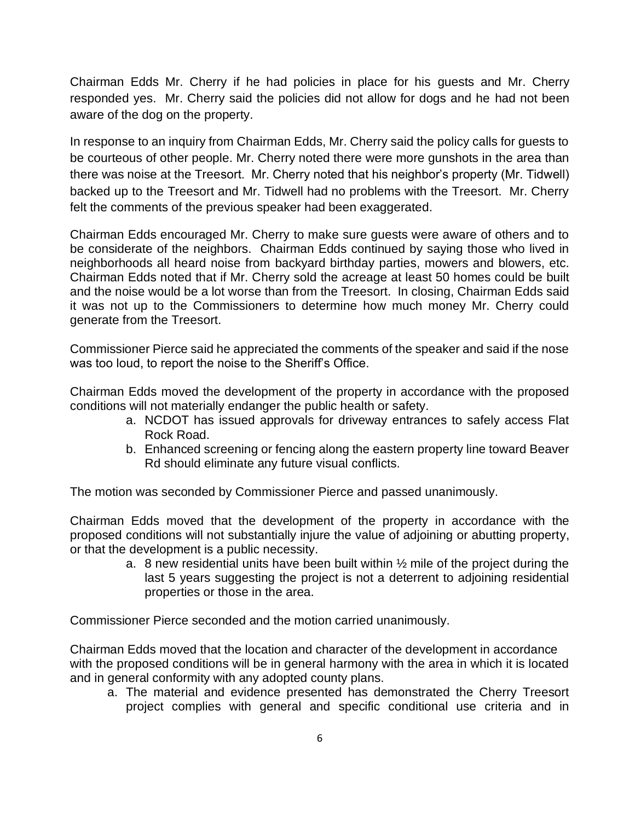Chairman Edds Mr. Cherry if he had policies in place for his guests and Mr. Cherry responded yes. Mr. Cherry said the policies did not allow for dogs and he had not been aware of the dog on the property.

In response to an inquiry from Chairman Edds, Mr. Cherry said the policy calls for guests to be courteous of other people. Mr. Cherry noted there were more gunshots in the area than there was noise at the Treesort. Mr. Cherry noted that his neighbor's property (Mr. Tidwell) backed up to the Treesort and Mr. Tidwell had no problems with the Treesort. Mr. Cherry felt the comments of the previous speaker had been exaggerated.

Chairman Edds encouraged Mr. Cherry to make sure guests were aware of others and to be considerate of the neighbors. Chairman Edds continued by saying those who lived in neighborhoods all heard noise from backyard birthday parties, mowers and blowers, etc. Chairman Edds noted that if Mr. Cherry sold the acreage at least 50 homes could be built and the noise would be a lot worse than from the Treesort. In closing, Chairman Edds said it was not up to the Commissioners to determine how much money Mr. Cherry could generate from the Treesort.

Commissioner Pierce said he appreciated the comments of the speaker and said if the nose was too loud, to report the noise to the Sheriff's Office.

Chairman Edds moved the development of the property in accordance with the proposed conditions will not materially endanger the public health or safety.

- a. NCDOT has issued approvals for driveway entrances to safely access Flat Rock Road.
- b. Enhanced screening or fencing along the eastern property line toward Beaver Rd should eliminate any future visual conflicts.

The motion was seconded by Commissioner Pierce and passed unanimously.

Chairman Edds moved that the development of the property in accordance with the proposed conditions will not substantially injure the value of adjoining or abutting property, or that the development is a public necessity.

a. 8 new residential units have been built within  $\frac{1}{2}$  mile of the project during the last 5 years suggesting the project is not a deterrent to adjoining residential properties or those in the area.

Commissioner Pierce seconded and the motion carried unanimously.

Chairman Edds moved that the location and character of the development in accordance with the proposed conditions will be in general harmony with the area in which it is located and in general conformity with any adopted county plans.

a. The material and evidence presented has demonstrated the Cherry Treesort project complies with general and specific conditional use criteria and in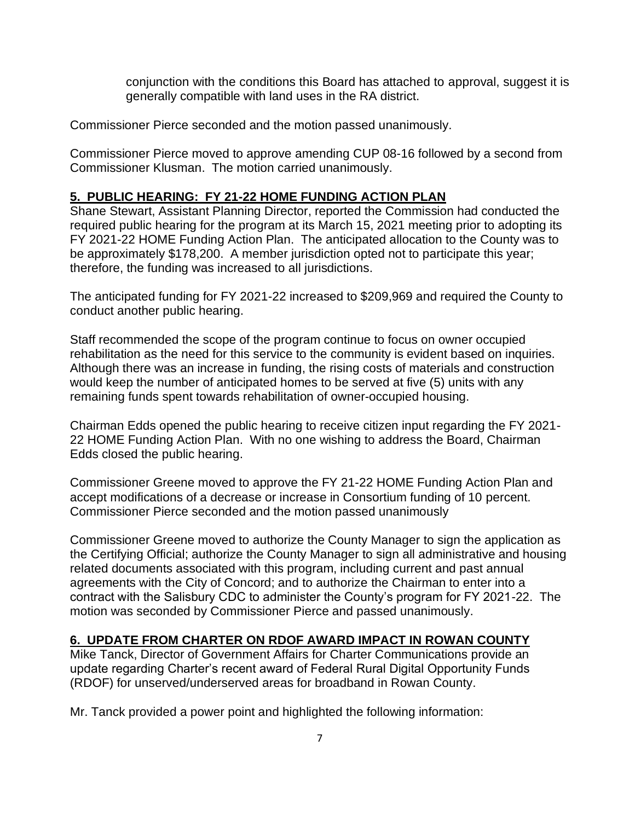conjunction with the conditions this Board has attached to approval, suggest it is generally compatible with land uses in the RA district.

Commissioner Pierce seconded and the motion passed unanimously.

Commissioner Pierce moved to approve amending CUP 08-16 followed by a second from Commissioner Klusman. The motion carried unanimously.

#### **5. PUBLIC HEARING: FY 21-22 HOME FUNDING ACTION PLAN**

Shane Stewart, Assistant Planning Director, reported the Commission had conducted the required public hearing for the program at its March 15, 2021 meeting prior to adopting its FY 2021-22 HOME Funding Action Plan. The anticipated allocation to the County was to be approximately \$178,200. A member jurisdiction opted not to participate this year; therefore, the funding was increased to all jurisdictions.

The anticipated funding for FY 2021-22 increased to \$209,969 and required the County to conduct another public hearing.

Staff recommended the scope of the program continue to focus on owner occupied rehabilitation as the need for this service to the community is evident based on inquiries. Although there was an increase in funding, the rising costs of materials and construction would keep the number of anticipated homes to be served at five (5) units with any remaining funds spent towards rehabilitation of owner-occupied housing.

Chairman Edds opened the public hearing to receive citizen input regarding the FY 2021- 22 HOME Funding Action Plan. With no one wishing to address the Board, Chairman Edds closed the public hearing.

Commissioner Greene moved to approve the FY 21-22 HOME Funding Action Plan and accept modifications of a decrease or increase in Consortium funding of 10 percent. Commissioner Pierce seconded and the motion passed unanimously

Commissioner Greene moved to authorize the County Manager to sign the application as the Certifying Official; authorize the County Manager to sign all administrative and housing related documents associated with this program, including current and past annual agreements with the City of Concord; and to authorize the Chairman to enter into a contract with the Salisbury CDC to administer the County's program for FY 2021-22. The motion was seconded by Commissioner Pierce and passed unanimously.

#### **6. UPDATE FROM CHARTER ON RDOF AWARD IMPACT IN ROWAN COUNTY**

Mike Tanck, Director of Government Affairs for Charter Communications provide an update regarding Charter's recent award of Federal Rural Digital Opportunity Funds (RDOF) for unserved/underserved areas for broadband in Rowan County.

Mr. Tanck provided a power point and highlighted the following information: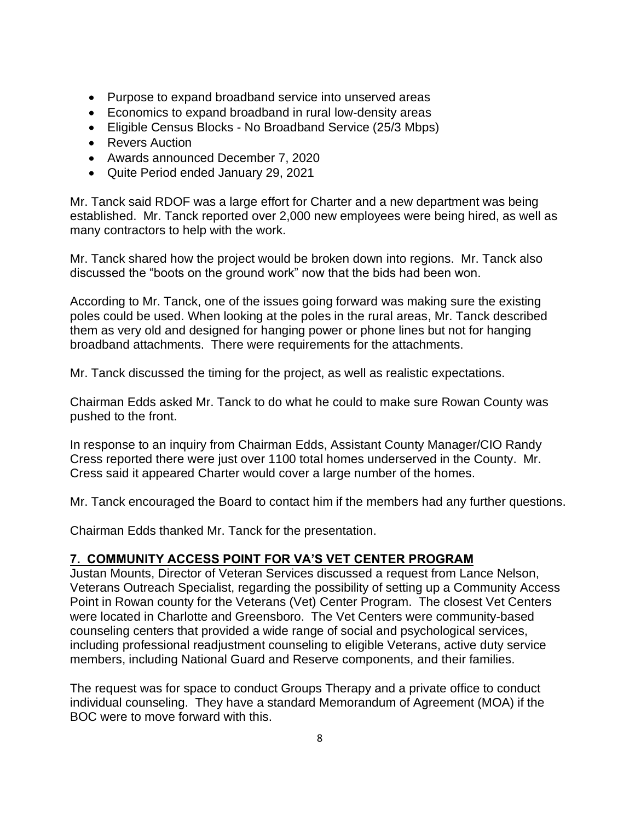- Purpose to expand broadband service into unserved areas
- Economics to expand broadband in rural low-density areas
- Eligible Census Blocks No Broadband Service (25/3 Mbps)
- Revers Auction
- Awards announced December 7, 2020
- Quite Period ended January 29, 2021

Mr. Tanck said RDOF was a large effort for Charter and a new department was being established. Mr. Tanck reported over 2,000 new employees were being hired, as well as many contractors to help with the work.

Mr. Tanck shared how the project would be broken down into regions. Mr. Tanck also discussed the "boots on the ground work" now that the bids had been won.

According to Mr. Tanck, one of the issues going forward was making sure the existing poles could be used. When looking at the poles in the rural areas, Mr. Tanck described them as very old and designed for hanging power or phone lines but not for hanging broadband attachments. There were requirements for the attachments.

Mr. Tanck discussed the timing for the project, as well as realistic expectations.

Chairman Edds asked Mr. Tanck to do what he could to make sure Rowan County was pushed to the front.

In response to an inquiry from Chairman Edds, Assistant County Manager/CIO Randy Cress reported there were just over 1100 total homes underserved in the County. Mr. Cress said it appeared Charter would cover a large number of the homes.

Mr. Tanck encouraged the Board to contact him if the members had any further questions.

Chairman Edds thanked Mr. Tanck for the presentation.

#### **7. COMMUNITY ACCESS POINT FOR VA'S VET CENTER PROGRAM**

Justan Mounts, Director of Veteran Services discussed a request from Lance Nelson, Veterans Outreach Specialist, regarding the possibility of setting up a Community Access Point in Rowan county for the Veterans (Vet) Center Program. The closest Vet Centers were located in Charlotte and Greensboro. The Vet Centers were community-based counseling centers that provided a wide range of social and psychological services, including professional readjustment counseling to eligible Veterans, active duty service members, including National Guard and Reserve components, and their families.

The request was for space to conduct Groups Therapy and a private office to conduct individual counseling. They have a standard Memorandum of Agreement (MOA) if the BOC were to move forward with this.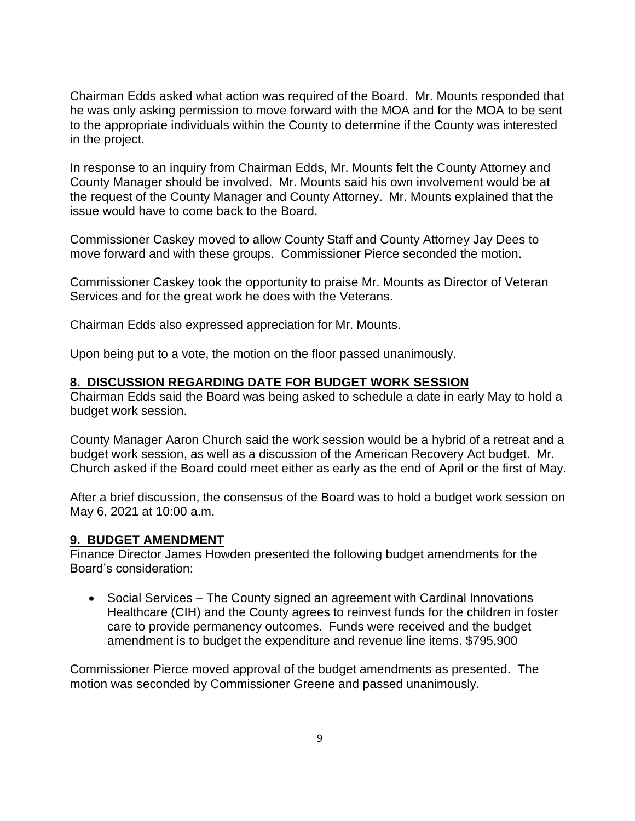Chairman Edds asked what action was required of the Board. Mr. Mounts responded that he was only asking permission to move forward with the MOA and for the MOA to be sent to the appropriate individuals within the County to determine if the County was interested in the project.

In response to an inquiry from Chairman Edds, Mr. Mounts felt the County Attorney and County Manager should be involved. Mr. Mounts said his own involvement would be at the request of the County Manager and County Attorney. Mr. Mounts explained that the issue would have to come back to the Board.

Commissioner Caskey moved to allow County Staff and County Attorney Jay Dees to move forward and with these groups. Commissioner Pierce seconded the motion.

Commissioner Caskey took the opportunity to praise Mr. Mounts as Director of Veteran Services and for the great work he does with the Veterans.

Chairman Edds also expressed appreciation for Mr. Mounts.

Upon being put to a vote, the motion on the floor passed unanimously.

#### **8. DISCUSSION REGARDING DATE FOR BUDGET WORK SESSION**

Chairman Edds said the Board was being asked to schedule a date in early May to hold a budget work session.

County Manager Aaron Church said the work session would be a hybrid of a retreat and a budget work session, as well as a discussion of the American Recovery Act budget. Mr. Church asked if the Board could meet either as early as the end of April or the first of May.

After a brief discussion, the consensus of the Board was to hold a budget work session on May 6, 2021 at 10:00 a.m.

#### **9. BUDGET AMENDMENT**

Finance Director James Howden presented the following budget amendments for the Board's consideration:

• Social Services – The County signed an agreement with Cardinal Innovations Healthcare (CIH) and the County agrees to reinvest funds for the children in foster care to provide permanency outcomes. Funds were received and the budget amendment is to budget the expenditure and revenue line items. \$795,900

Commissioner Pierce moved approval of the budget amendments as presented. The motion was seconded by Commissioner Greene and passed unanimously.